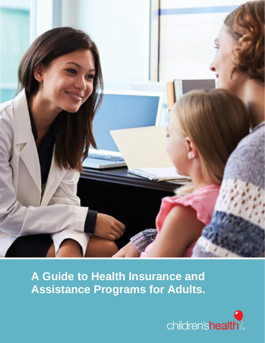

# **A Guide to Health Insurance and Assistance Programs for Adults.**

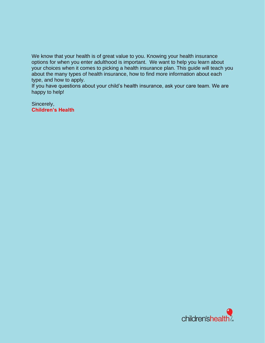We know that your health is of great value to you. Knowing your health insurance options for when you enter adulthood is important. We want to help you learn about your choices when it comes to picking a health insurance plan. This guide will teach you about the many types of health insurance, how to find more information about each type, and how to apply.

If you have questions about your child's health insurance, ask your care team. We are happy to help!

Sincerely, **Children's Health**

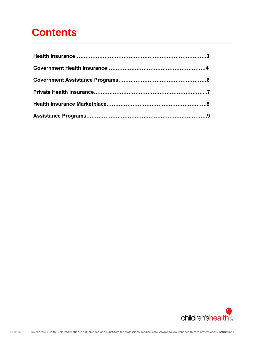# **Contents**

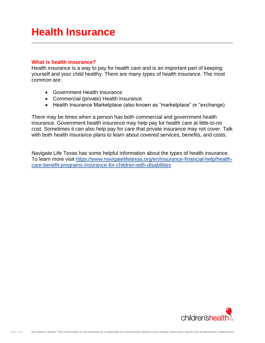## **Health Insurance**

#### **What is health insurance?**

Health insurance is a way to pay for health care and is an important part of keeping yourself and your child healthy. There are many types of health insurance. The most common are:

- Government Health Insurance
- Commercial (private) Health Insurance
- Health Insurance Marketplace (also known as "marketplace" or "exchange)

There may be times when a person has both commercial and government health insurance. Government health insurance may help pay for health care at little-to-no cost. Sometimes it can also help pay for care that private insurance may not cover. Talk with both health insurance plans to learn about covered services, benefits, and costs.

Navigate Life Texas has some helpful information about the types of health insurance. To learn more visit [https://www.navigatelifetexas.org/en/insurance-financial-help/health](https://www.navigatelifetexas.org/en/insurance-financial-help/health-care-benefit-programs-insurance-for-children-with-disabilities)[care-benefit-programs-insurance-for-children-with-disabilities](https://www.navigatelifetexas.org/en/insurance-financial-help/health-care-benefit-programs-insurance-for-children-with-disabilities)

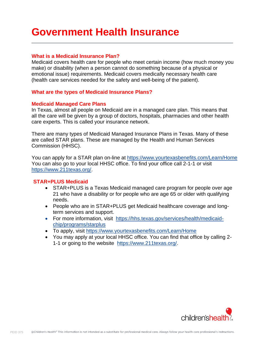# **Government Health Insurance**

### **What is a Medicaid Insurance Plan?**

Medicaid covers health care for people who meet certain income (how much money you make) or disability (when a person cannot do something because of a physical or emotional issue) requirements. Medicaid covers medically necessary health care (health care services needed for the safety and well-being of the patient).

### **What are the types of Medicaid Insurance Plans?**

### **Medicaid Managed Care Plans**

In Texas, almost all people on Medicaid are in a managed care plan. This means that all the care will be given by a group of doctors, hospitals, pharmacies and other health care experts. This is called your insurance network.

There are many types of Medicaid Managed Insurance Plans in Texas. Many of these are called STAR plans. These are managed by the Health and Human Services Commission (HHSC).

You can apply for a STAR plan on-line at <https://www.yourtexasbenefits.com/Learn/Home> You can also go to your local HHSC office. To find your office call 2-1-1 or visit [https://www.211texas.org/.](https://www.211texas.org/)

### **STAR+PLUS Medicaid**

- STAR+PLUS is a Texas Medicaid managed care program for people over age 21 who have a disability or for people who are age 65 or older with qualifying needs.
- People who are in STAR+PLUS get Medicaid healthcare coverage and longterm services and support.
- For more information, visit [https://hhs.texas.gov/services/health/medicaid](https://hhs.texas.gov/services/health/medicaid-chip/programs/starplus)[chip/programs/starplus](https://hhs.texas.gov/services/health/medicaid-chip/programs/starplus)
- To apply, visit <https://www.yourtexasbenefits.com/Learn/Home>
- You may apply at your local HHSC office. You can find that office by calling 2- 1-1 or going to the website [https://www.211texas.org/.](https://www.211texas.org/)

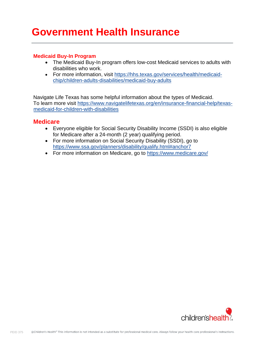# **Government Health Insurance**

### **Medicaid Buy-In Program**

- The Medicaid Buy-In program offers low-cost Medicaid services to adults with disabilities who work.
- For more information, visit [https://hhs.texas.gov/services/health/medicaid](https://hhs.texas.gov/services/health/medicaid-chip/children-adults-disabilities/medicaid-buy-adults)[chip/children-adults-disabilities/medicaid-buy-adults](https://hhs.texas.gov/services/health/medicaid-chip/children-adults-disabilities/medicaid-buy-adults)

Navigate Life Texas has some helpful information about the types of Medicaid. To learn more visit [https://www.navigatelifetexas.org/en/insurance-financial-help/texas](https://www.navigatelifetexas.org/en/insurance-financial-help/texas-medicaid-for-children-with-disabilities)[medicaid-for-children-with-disabilities](https://www.navigatelifetexas.org/en/insurance-financial-help/texas-medicaid-for-children-with-disabilities)

### **Medicare**

- Everyone eligible for Social Security Disability Income (SSDI) is also eligible for Medicare after a 24-month (2 year) qualifying period.
- For more information on Social Security Disability (SSDI), go to <https://www.ssa.gov/planners/disability/qualify.html#anchor7>
- For more information on Medicare, go to<https://www.medicare.gov/>

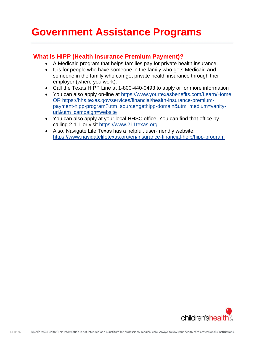# **Government Assistance Programs**

### **What is HIPP (Health Insurance Premium Payment)?**

- A Medicaid program that helps families pay for private health insurance.
- It is for people who have someone in the family who gets Medicaid **and** someone in the family who can get private health insurance through their employer (where you work).
- Call the Texas HIPP Line at 1-800-440-0493 to apply or for more information
- You can also apply on-line at<https://www.yourtexasbenefits.com/Learn/Home> OR [https://hhs.texas.gov/services/financial/health-insurance-premium](https://hhs.texas.gov/services/financial/health-insurance-premium-payment-hipp-program?utm_source=gethipp-domain&utm_medium=vanity-url&utm_campaign=website)[payment-hipp-program?utm\\_source=gethipp-domain&utm\\_medium=vanity](https://hhs.texas.gov/services/financial/health-insurance-premium-payment-hipp-program?utm_source=gethipp-domain&utm_medium=vanity-url&utm_campaign=website)[url&utm\\_campaign=website](https://hhs.texas.gov/services/financial/health-insurance-premium-payment-hipp-program?utm_source=gethipp-domain&utm_medium=vanity-url&utm_campaign=website)
- You can also apply at your local HHSC office. You can find that office by calling 2-1-1 or visit [https://www.211texas.org](https://www.211texas.org/)
- Also, Navigate Life Texas has a helpful, user-friendly website: <https://www.navigatelifetexas.org/en/insurance-financial-help/hipp-program>

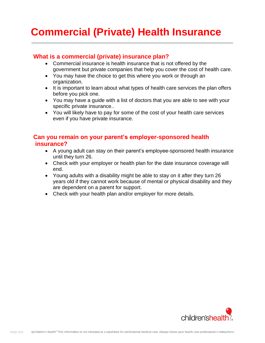# **Commercial (Private) Health Insurance**

## **What is a commercial (private) insurance plan?**

- Commercial insurance is health insurance that is not offered by the government but private companies that help you cover the cost of health care.
- You may have the choice to get this where you work or through an organization.
- It is important to learn about what types of health care services the plan offers before you pick one.
- You may have a guide with a list of doctors that you are able to see with your specific private insurance..
- You will likely have to pay for some of the cost of your health care services even if you have private insurance.

## **Can you remain on your parent's employer-sponsored health insurance?**

- A young adult can stay on their parent's employee-sponsored health insurance until they turn 26.
- Check with your employer or health plan for the date insurance coverage will end.
- Young adults with a disability might be able to stay on it after they turn 26 years old if they cannot work because of mental or physical disability and they are dependent on a parent for support.
- Check with your health plan and/or employer for more details.

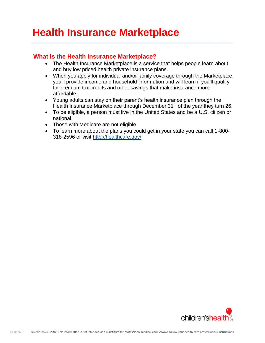# **Health Insurance Marketplace**

## **What is the Health Insurance Marketplace?**

- The Health Insurance Marketplace is a service that helps people learn about and buy low priced health private insurance plans.
- When you apply for individual and/or family coverage through the Marketplace, you'll provide income and household information and will learn if you'll qualify for premium tax credits and other savings that make insurance more affordable.
- Young adults can stay on their parent's health insurance plan through the Health Insurance Marketplace through December 31<sup>st</sup> of the year they turn 26.
- To be eligible, a person must live in the United States and be a U.S. citizen or national.
- Those with Medicare are not eligible.
- To learn more about the plans you could get in your state you can call 1-800- 318-2596 or visit<http://healthcare.gov/>

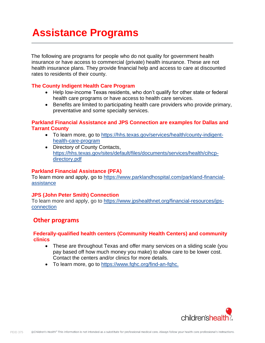# **Assistance Programs**

The following are programs for people who do not quality for government health insurance or have access to commercial (private) health insurance. These are not health insurance plans. They provide financial help and access to care at discounted rates to residents of their county.

### **The County Indigent Health Care Program**

- Help low-income Texas residents, who don't qualify for other state or federal health care programs or have access to health care services.
- Benefits are limited to participating health care providers who provide primary, preventative and some specialty services.

### **Parkland Financial Assistance and JPS Connection are examples for Dallas and Tarrant County**

- To learn more, go to [https://hhs.texas.gov/services/health/county-indigent](https://hhs.texas.gov/services/health/county-indigent-health-care-program)[health-care-program](https://hhs.texas.gov/services/health/county-indigent-health-care-program)
- Directory of County Contacts, [https://hhs.texas.gov/sites/default/files/documents/services/health/cihcp](https://hhs.texas.gov/sites/default/files/documents/services/health/cihcp-directory.pdf)[directory.pdf](https://hhs.texas.gov/sites/default/files/documents/services/health/cihcp-directory.pdf)

### **Parkland Financial Assistance (PFA)**

To learn more and apply, go to [https://www.parklandhospital.com/parkland-financial](https://www.parklandhospital.com/parkland-financial-assistance)[assistance](https://www.parklandhospital.com/parkland-financial-assistance)

### **JPS (John Peter Smith) Connection**

To learn more and apply, go to [https://www.jpshealthnet.org/financial-resources/jps](https://www.jpshealthnet.org/financial-resources/jps-connection)[connection](https://www.jpshealthnet.org/financial-resources/jps-connection)

### **Other programs**

### **Federally-qualified health centers (Community Health Centers) and community clinics**

- These are throughout Texas and offer many services on a sliding scale (you pay based off how much money you make) to allow care to be lower cost. Contact the centers and/or clinics for more details.
- To learn more, go to [https://www.fqhc.org/find-an-fqhc.](https://www.fqhc.org/find-an-fqhc)